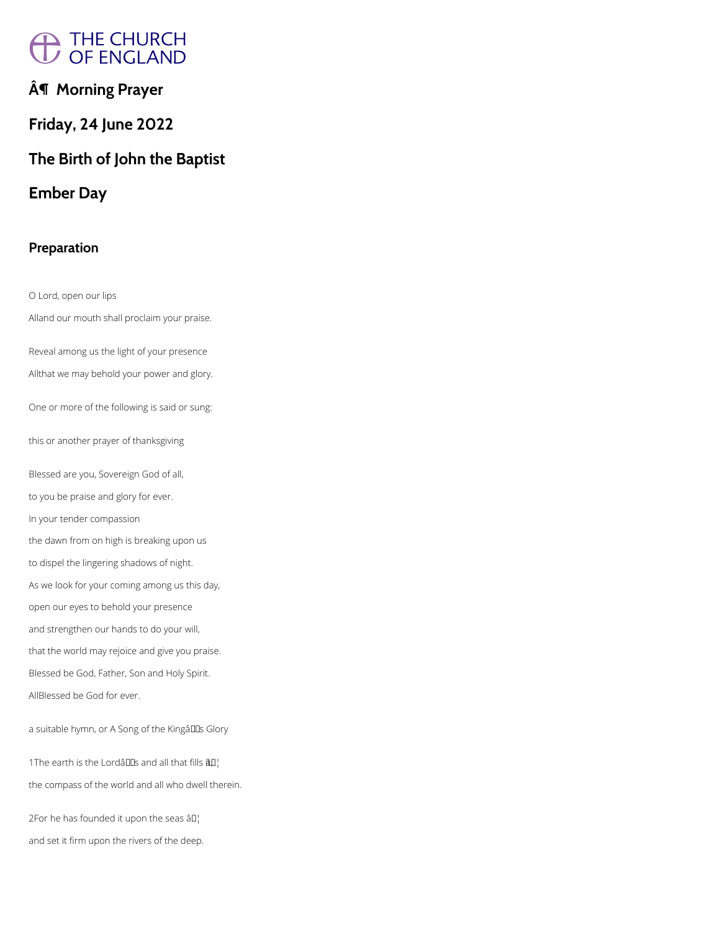# A THE CHURCH<br>/ OF ENGLAND

# **¶ Morning Prayer**

# **Friday, 24 June 2022**

# **The Birth of John the Baptist**

# **Ember Day**

## **Preparation**

O Lord, open our lips Alland our mouth shall proclaim your praise. Reveal among us the light of your presence Allthat we may behold your power and glory. One or more of the following is said or sung: this or another prayer of thanksgiving Blessed are you, Sovereign God of all, to you be praise and glory for ever. In your tender compassion the dawn from on high is breaking upon us to dispel the lingering shadows of night. As we look for your coming among us this day, open our eyes to behold your presence and strengthen our hands to do your will, that the world may rejoice and give you praise. Blessed be God, Father, Son and Holy Spirit.

AllBlessed be God for ever.

a suitable hymn, or A Song of the Kingâl Las Glory

1The earth is the Lordâllas and all that fills  $\hat{a}$  $\Box$ 

the compass of the world and all who dwell therein.

2For he has founded it upon the seas  $\partial I$ .

and set it firm upon the rivers of the deep.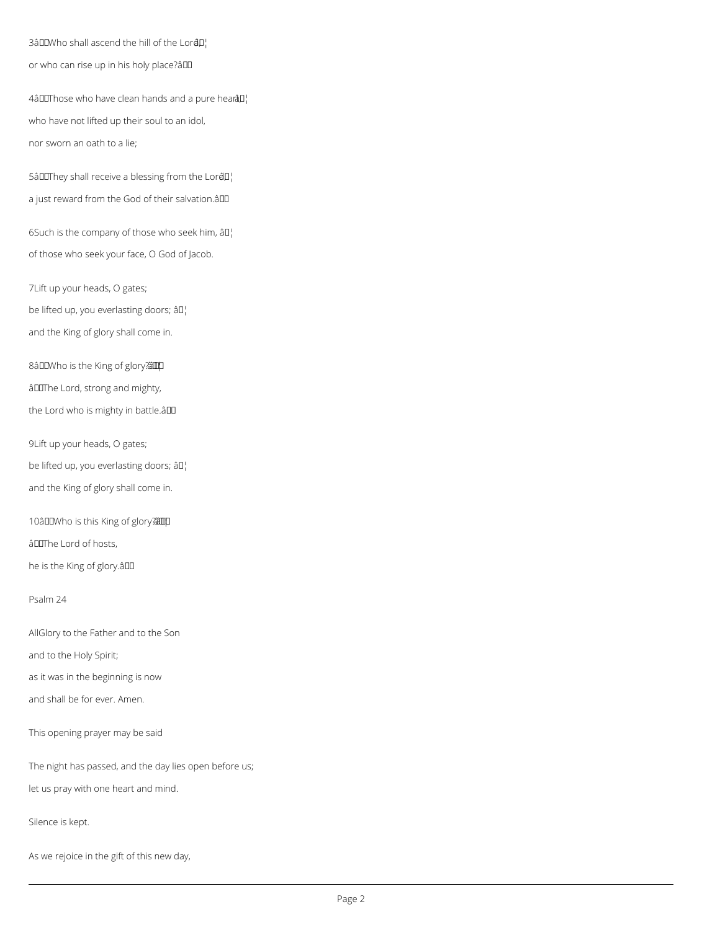3â $\square$ Who shall ascend the hill of the Lor $\triangleleft\!\!\!\!\!\!\!\square\!\!\!\!\perp\!\!\!\!\!\!\!\!\perp\!\!\!\!\!\!\!\!\!\perp$ or who can rise up in his holy place?â

4âDOThose who have clean hands and a pure hearâD¦ who have not lifted up their soul to an idol, nor sworn an oath to a lie;

5â $I$ IIThey shall receive a blessing from the Lor $I$ <sup>1</sup> a just reward from the God of their salvation.âDD

6Such is the company of those who seek him,  $\partial D_1$ of those who seek your face, O God of Jacob.

7Lift up your heads, O gates; be lifted up, you everlasting doors;  $\hat{a} \mathbb{I}^1$ and the King of glory shall come in.

8âDDWho is the King of glory? âDIThe Lord, strong and mighty, the Lord who is mighty in battle.âll

9Lift up your heads, O gates;

be lifted up, you everlasting doors; âll

and the King of glory shall come in.

10âLIWho is this King of glory?

âDIThe Lord of hosts,

he is the King of glory.an

Psalm 24

AllGlory to the Father and to the Son

and to the Holy Spirit;

as it was in the beginning is now

This opening prayer may be said

The night has passed, and the day lies open before us;

let us pray with one heart and mind.

Silence is kept.

As we rejoice in the gift of this new day,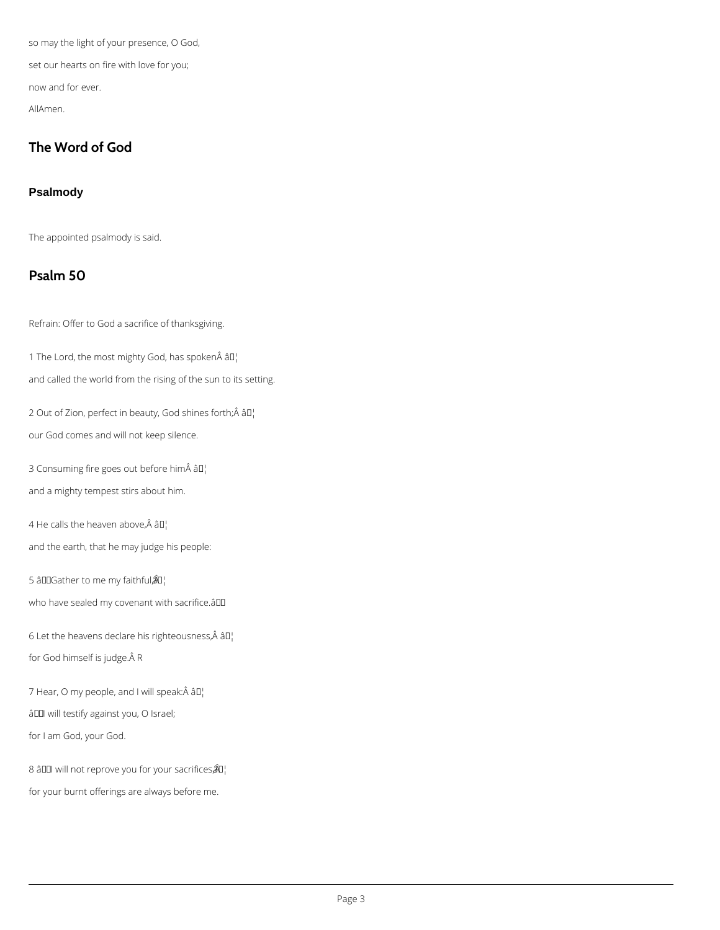so may the light of your presence, O God, set our hearts on fire with love for you; now and for ever. AllAmen.

## **The Word of God**

#### **Psalmody**

The appointed psalmody is said.

## **Psalm 50**

Refrain: Offer to God a sacrifice of thanksgiving.

1 The Lord, the most mighty God, has spoken $\hat{A}$  â $I$ <sup>1</sup>

2 Out of Zion, perfect in beauty, God shines forth; $\hat{A}$  â $I$ ] our God comes and will not keep silence.

3 Consuming fire goes out before him âD¦

and called the world from the rising of the sun to its setting.

and a mighty tempest stirs about him.

4 He calls the heaven above, $\hat{A}$  â $I_I^{\dagger}$ 

and the earth, that he may judge his people:

5 âDD Gather to me my faithful $\hat{A}$ D<sub>i</sub>

who have sealed my covenant with sacrifice.âDD

6 Let the heavens declare his righteousness, $\hat{A}$  â $\Pi_1^1$ 

for God himself is judge. Â R

7 Hear, O my people, and I will speak:Â âD¦

âDOI will testify against you, O Israel;

for I am God, your God.

8 â□ will not reprove you for your sacrifices  $\hat{a}$ ]

for your burnt offerings are always before me.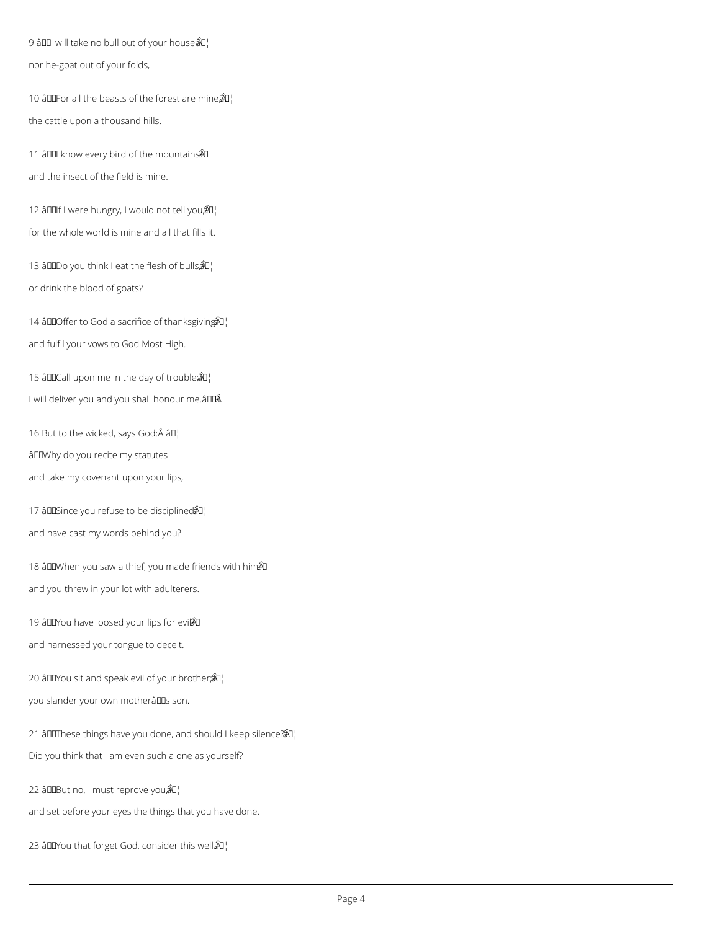9 â $\Box$  will take no bull out of your house $\hat{A}\Box$ nor he-goat out of your folds,

10 âDDF or all the beasts of the forest are mine $\hat{a}$ <sup>[]</sup> the cattle upon a thousand hills.

11 â00 know every bird of the mountains  $\mathbb{A}^1$ and the insect of the field is mine.

12 â $III$ f I were hungry, I would not tell you $\hat{A}II$ for the whole world is mine and all that fills it.

13 â00Do you think I eat the flesh of bulls $\hat{A}$  $I_1$ or drink the blood of goats?

14 âDD Offer to God a sacrifice of thanks giving  $\mathbb{R}^1$ and fulfil your vows to God Most High.

15 âDDCall upon me in the day of trouble $\partial a$ <sup>'</sup> I will deliver you and you shall honour me. $\hat{a}$ 

16 But to the wicked, says God: $\hat{A}$  â $II_1$ âWhy do you recite my statutes and take my covenant upon your lips,

17 â $\text{DIS}$ ince you refuse to be disciplined $\mathbb{A}^1$ and have cast my words behind you?

18 âDDWhen you saw a thief, you made friends with him $\mathbb{\hat{A}}$ u. and you threw in your lot with adulterers.

19 â $\Box$  Tou have loosed your lips for evil  $\angle \Box$ and harnessed your tongue to deceit.

20 âDDYou sit and speak evil of your brother $\hat{a}$   $\hat{a}$ <sup>1</sup>

you slander your own motherâlls son.

21 âThese things have you done, and should I keep silence? â¦

Did you think that I am even such a one as yourself?

22 âDDBut no, I must reprove you@L

and set before your eyes the things that you have done.

23 âDDYou that forget God, consider this well $\hat{A}$ U.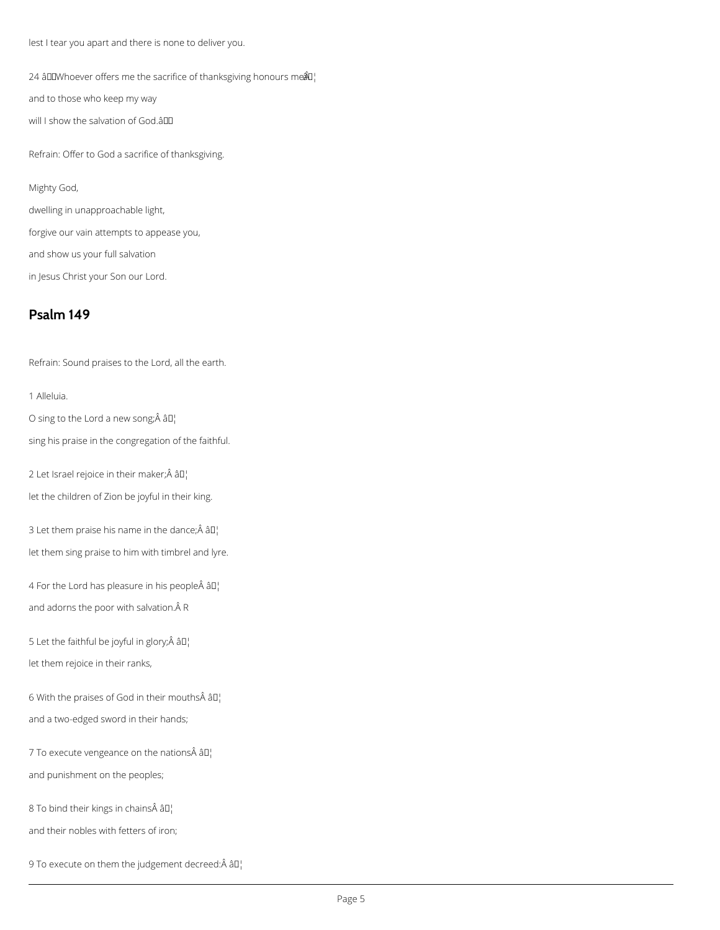lest I tear you apart and there is none to deliver you.

24 âDDWhoever offers me the sacrifice of thanksgiving honours me $\mathbb{A}^1$ 

and to those who keep my way

will I show the salvation of God.âDD

Refrain: Offer to God a sacrifice of thanksgiving.

#### Mighty God,

dwelling in unapproachable light,

forgive our vain attempts to appease you,

and show us your full salvation

in Jesus Christ your Son our Lord.

## **Psalm 149**

Refrain: Sound praises to the Lord, all the earth.

1 Alleluia.

O sing to the Lord a new song; $\hat{A}$   $\hat{a}$  $\Gamma$ 

sing his praise in the congregation of the faithful.

2 Let Israel rejoice in their maker; $\hat{A}$  â $\Box$ 

let the children of Zion be joyful in their king.

3 Let them praise his name in the dance; $\hat{A}$  âll

let them sing praise to him with timbrel and lyre.

4 For the Lord has pleasure in his people $\hat{A}$  âll and adorns the poor with salvation. $\hat{A}$  R

5 Let the faithful be joyful in glory; $\hat{A}$  â $\Box$ 

let them rejoice in their ranks,

6 With the praises of God in their mouths  $\hat{A}$   $\hat{a}$  $\Gamma$ 

and a two-edged sword in their hands;

7 To execute vengeance on the nations $\hat{A}$  âll

and punishment on the peoples;

8 To bind their kings in chains $\hat{A}$  â $I$ <sup>1</sup>

and their nobles with fetters of iron;

9 To execute on them the judgement decreed: $\hat{A}$   $\hat{a}$  $\Gamma$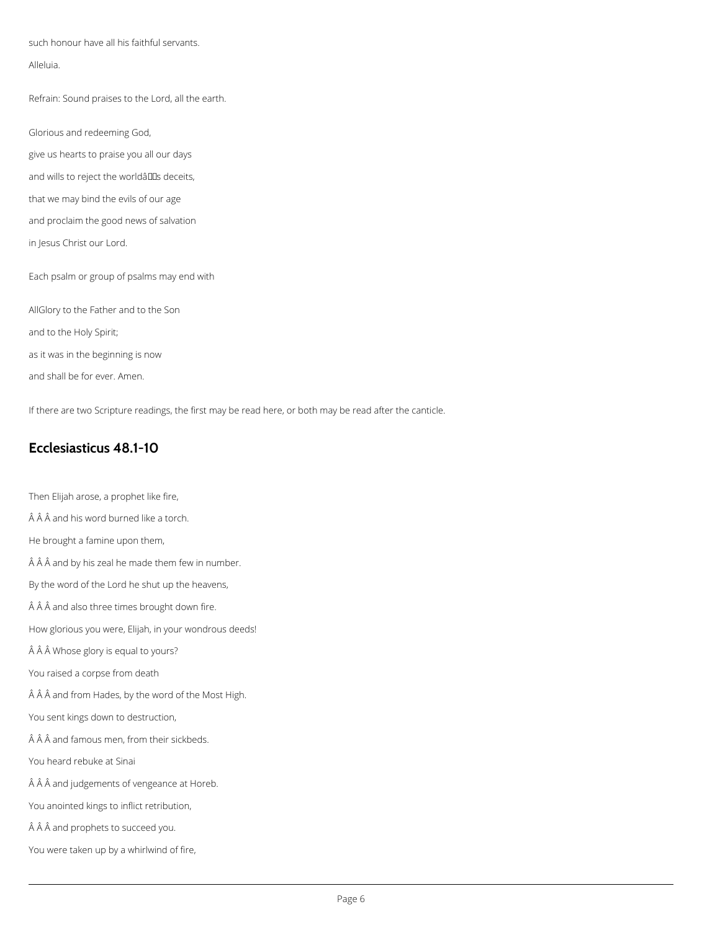such honour have all his faithful servants.

#### Alleluia.

Refrain: Sound praises to the Lord, all the earth.

Glorious and redeeming God,

- give us hearts to praise you all our days
- and wills to reject the worldâlls deceits,
- that we may bind the evils of our age

and proclaim the good news of salvation

in Jesus Christ our Lord.

Each psalm or group of psalms may end with

AllGlory to the Father and to the Son

and to the Holy Spirit;

as it was in the beginning is now

and shall be for ever. Amen.

If there are two Scripture readings, the first may be read here, or both may be read after the canticle.

### **Ecclesiasticus 48.1-10**

Then Elijah arose, a prophet like fire,

 $\hat{A}$   $\hat{A}$   $\hat{A}$  and his word burned like a torch.

He brought a famine upon them,

 $\hat{A}$   $\hat{A}$   $\hat{A}$  and by his zeal he made them few in number.

By the word of the Lord he shut up the heavens,

 $\hat{A}$   $\hat{A}$  and also three times brought down fire.

How glorious you were, Elijah, in your wondrous deeds!

Â Â Whose glory is equal to yours?

You raised a corpse from death

 $\hat{A}$   $\hat{A}$   $\hat{A}$  and from Hades, by the word of the Most High.

You sent kings down to destruction,

 $\hat{A}$   $\hat{A}$   $\hat{A}$  and famous men, from their sickbeds.

You heard rebuke at Sinai

 $\hat{A}$   $\hat{A}$   $\hat{A}$  and judgements of vengeance at Horeb.

You anointed kings to inflict retribution,

 $\hat{A}$   $\hat{A}$  and prophets to succeed you.

You were taken up by a whirlwind of fire,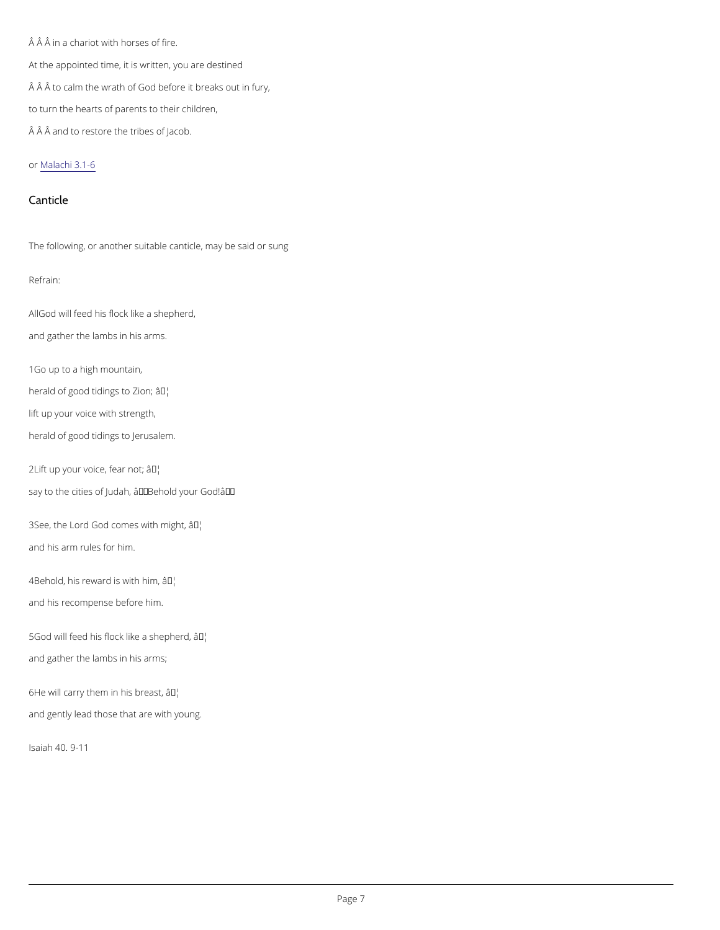$\hat{A}$   $\hat{A}$  in a chariot with horses of fire. At the appointed time, it is written, you are destined Â Â to calm the wrath of God before it breaks out in fury, to turn the hearts of parents to their children,  $\hat{A}$   $\hat{A}$   $\hat{A}$  and to restore the tribes of Jacob.

#### o[r Malachi](https://bible.oremus.org/?show_adj=no&vnum=no&fnote=no&version=nrsvae&passage=Malachi+3.1-6) 3.1-6

AlGod will feed his flock like a shepherd, and gather the lambs in his arms.

#### Canticle

The following, or another suitable canticle, may be said or sung

#### Refrain:

 $3See$ , the Lord God come $\hat{\mathbf{a}}^{\text{TM}}$  with might, and his arm rules for him.

 $4B$ ehold, his reward  $\tilde{a} s^{TM}$ with him, and his recompense before him.

5God will feed his flock li ke a shepherd, and gather the lambs in his arms;

 $6$ He will carry them in  $\hat{a}$  M<sup>il</sup>s breast,

1Go up to a high mountain,

herald of good tidinag<sup>ry</sup> to Zion;

lift up your voice with strength,

herald of good tidings to Jerusalem.

 $2$ Lift up your voice $\hat{a}$ <sup>T</sup><sup>+</sup> ear not;

say to the cities of Judah, †Behold your God!'

and gently lead those that are with young.

Isaiah 40. 9-11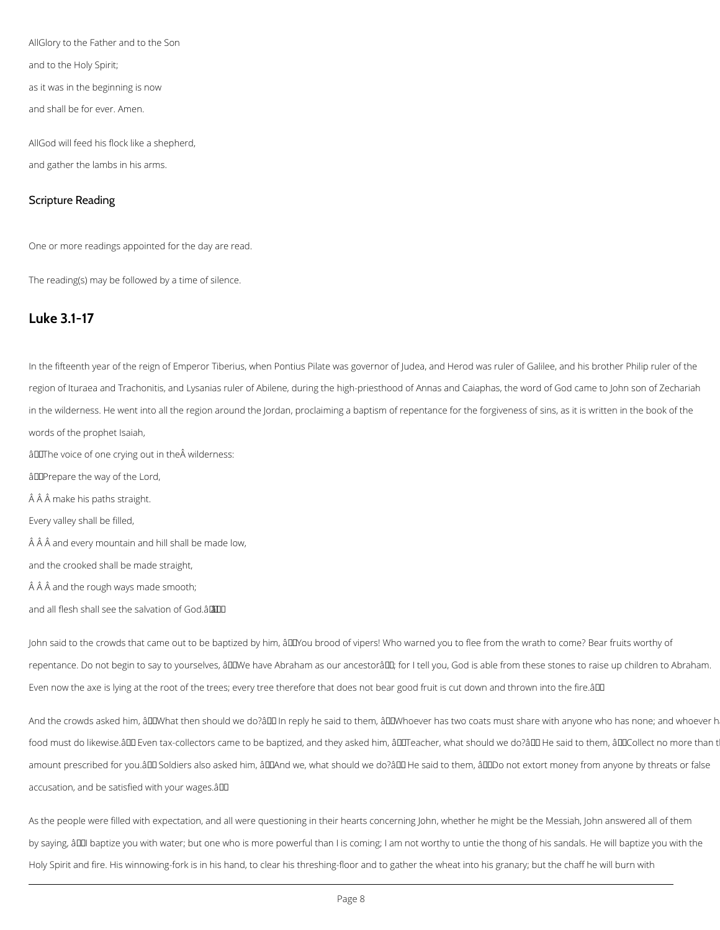AllGlory to the Father and to the Son

and to the Holy Spirit;

as it was in the beginning is now

and shall be for ever. Amen.

AllGod will feed his flock like a shepherd, and gather the lambs in his arms.

#### Scripture Reading

One or more readings appointed for the day are read.

The reading(s) may be followed by a time of silence.

### **Luke 3.1-17**

In the fifteenth year of the reign of Emperor Tiberius, when Pontius Pilate was governor of Judea, and Herod was ruler of Galilee, and his brother Philip ruler of the region of Ituraea and Trachonitis, and Lysanias ruler of Abilene, during the high-priesthood of Annas and Caiaphas, the word of God came to John son of Zechariah in the wilderness. He went into all the region around the Jordan, proclaiming a baptism of repentance for the forgiveness of sins, as it is written in the book of the words of the prophet Isaiah,  $\hat{a}$ IIThe voice of one crying out in the $\hat{A}$  wilderness: âDDPrepare the way of the Lord, Â Â make his paths straight. Every valley shall be filled,  $\hat{A}$   $\hat{A}$   $\hat{A}$  and every mountain and hill shall be made low, and the crooked shall be made straight,

 $\hat{A}$   $\hat{A}$   $\hat{A}$  and the rough ways made smooth;

John said to the crowds that came out to be baptized by him, âDDYou brood of vipers! Who warned you to flee from the wrath to come? Bear fruits worthy of repentance. Do not begin to say to yourselves, âDDWe have Abraham as our ancestorâDD; for I tell you, God is able from these stones to raise up children to Abraham. Even now the axe is lying at the root of the trees; every tree therefore that does not bear good fruit is cut down and thrown into the fire.â

And the crowds asked him, âDDWhat then should we do?âDD In reply he said to them, âDDWhoever has two coats must share with anyone who has none; and whoever h

food must do likewise.ând Even tax-collectors came to be baptized, and they asked him, ândTeacher, what should we do?ând He said to them, ândCollect no more than t

amount prescribed for you.âDD Soldiers also asked him, âDDAnd we, what should we do?âDD He said to them, âDDDo not extort money from anyone by threats or false accusation, and be satisfied with your wages.â

and all flesh shall see the salvation of God.ââ

As the people were filled with expectation, and all were questioning in their hearts concerning John, whether he might be the Messiah, John answered all of them

by saying, âDDI baptize you with water; but one who is more powerful than I is coming; I am not worthy to untie the thong of his sandals. He will baptize you with the

Holy Spirit and fire. His winnowing-fork is in his hand, to clear his threshing-floor and to gather the wheat into his granary; but the chaff he will burn with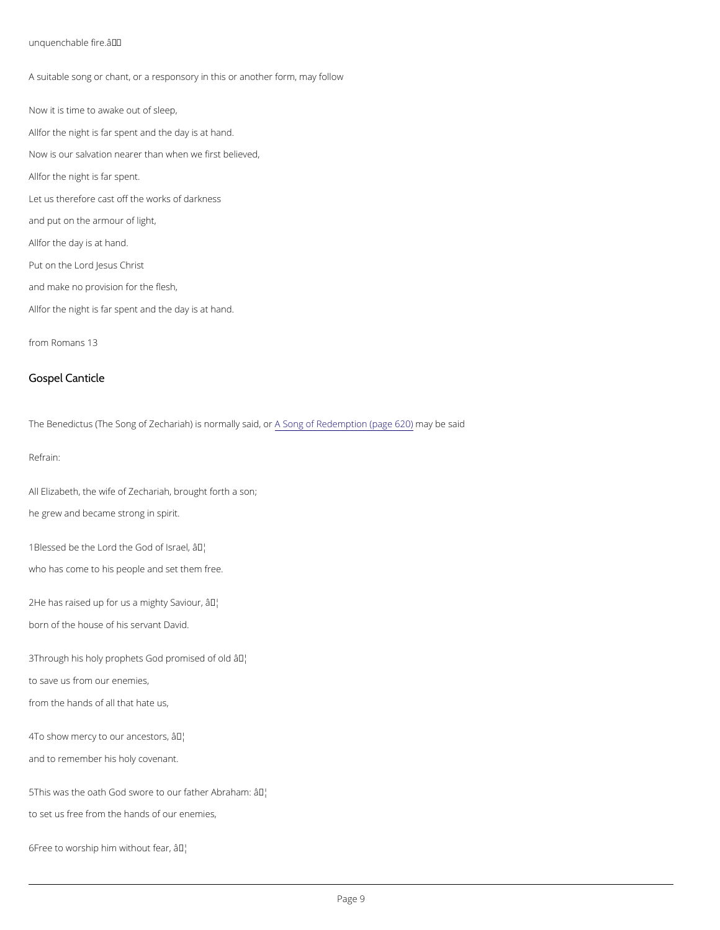unquenchable fire. â € ™

A suitable song or chant, or a responsory in this or another form, may follow Now it is time to awake out of sleep, Afflor the night is far spent and the day is at hand. Now is our salvation nearer than when we first believed, A flor the night is far spent. Let us therefore cast off the works of darkness and put on the armour of light, A flor the day is at hand. Put on the Lord Jesus Christ and make no provision for the flesh, Afflor the night is far spent and the day is at hand.

All Elizabeth, the wife of Zechariah, brought forth a son; he grew and became strong in spirit.

1Blessed be the Lord the  $\partial \mathcal{F}$ bd of Israel, who has come to his people and set them free.

 $2He$  has raised up for us a  $an$ Mghty Saviour, born of the house of his servant David.

3Through his holy prophets Godap<sup>th</sup>bmised of old to save us from our enemies,

from Romans 13

Gospel Canticle

The Benedictus (The Song of ZechariaAh)SoisngnoorfmRaeldy esnapitolp norm(payagbee 6s2a0)d

Refrain:

from the hands of all that hate us,

4To show mercy to oura  $\mathbb{A}^M$ n'cestors,

and to remember his holy covenant.

 $5$ This was the oath God swore to o $\hat{a}$  *T<sup>M</sup>* father Abraham:

to set us free from the hands of our enemies,

 $6$ Free to worship him wai $t$ <sup>h</sup>iout fear,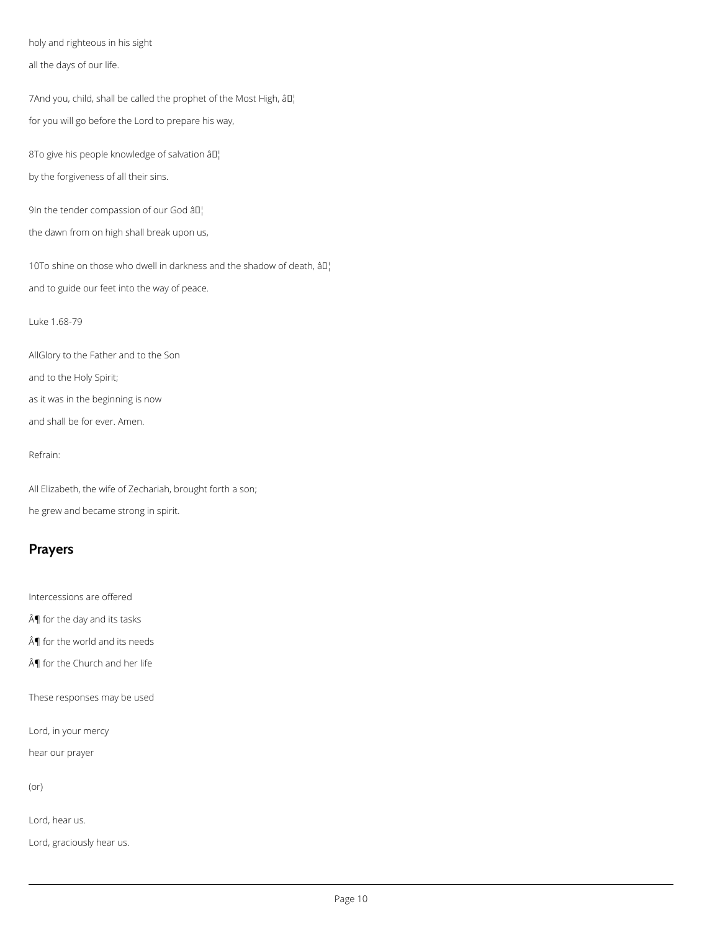holy and righteous in his sight

all the days of our life.

7And you, child, shall be called the prophet of the Most High, âll for you will go before the Lord to prepare his way,

8To give his people knowledge of salvation  $\partial D_i$ 

10To shine on those who dwell in darkness and the shadow of death,  $\partial I_1$ and to guide our feet into the way of peace.

by the forgiveness of all their sins.

9In the tender compassion of our God âD!

the dawn from on high shall break upon us,

Luke 1.68-79

AllGlory to the Father and to the Son

and to the Holy Spirit;

as it was in the beginning is now

and shall be for ever. Amen.

Refrain:

All Elizabeth, the wife of Zechariah, brought forth a son;

he grew and became strong in spirit.

## **Prayers**

Intercessions are offered

 $\hat{A}$  for the day and its tasks

 $\hat{A}$  for the world and its needs

 $\hat{A}$  for the Church and her life

These responses may be used

Lord, in your mercy

hear our prayer

(or)

Lord, hear us.

Lord, graciously hear us.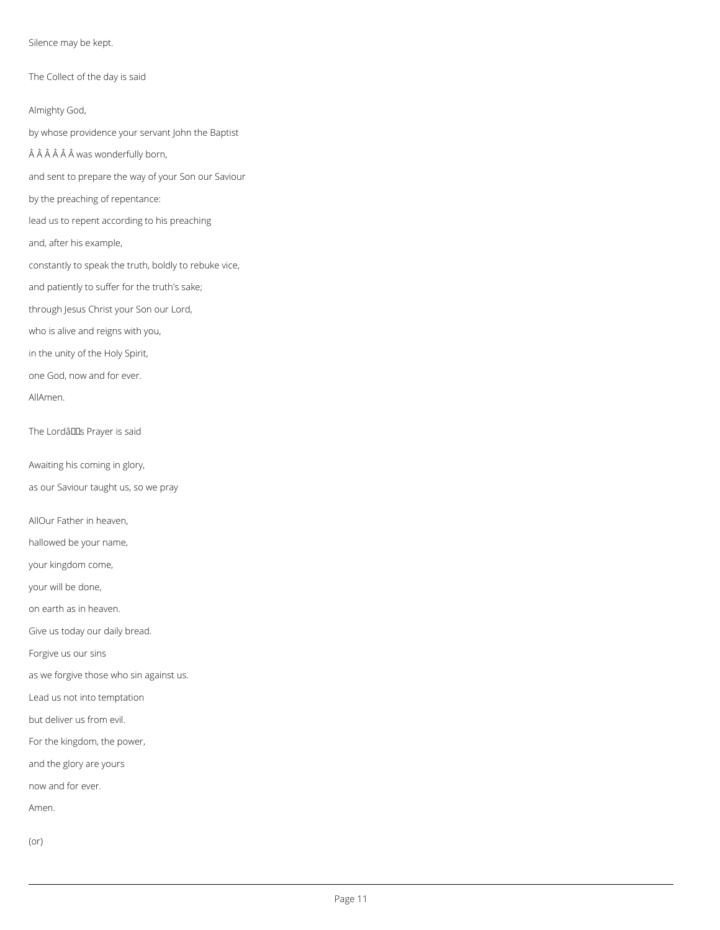Silence may be kept.

The Collect of the day is said

Almighty God,

by whose providence your servant John the Baptist

ÂÂÂÂÂ was wonderfully born,

and sent to prepare the way of your Son our Saviour

by the preaching of repentance:

lead us to repent according to his preaching

and, after his example,

constantly to speak the truth, boldly to rebuke vice,

and patiently to suffer for the truth's sake;

through Jesus Christ your Son our Lord,

who is alive and reigns with you,

in the unity of the Holy Spirit,

one God, now and for ever.

AllAmen.

The Lordâuls Prayer is said

Awaiting his coming in glory,

as our Saviour taught us, so we pray

AllOur Father in heaven,

hallowed be your name,

your kingdom come,

your will be done,

on earth as in heaven.

Give us today our daily bread.

Forgive us our sins

as we forgive those who sin against us.

Lead us not into temptation

but deliver us from evil.

For the kingdom, the power,

and the glory are yours

now and for ever.

Amen.

(or)